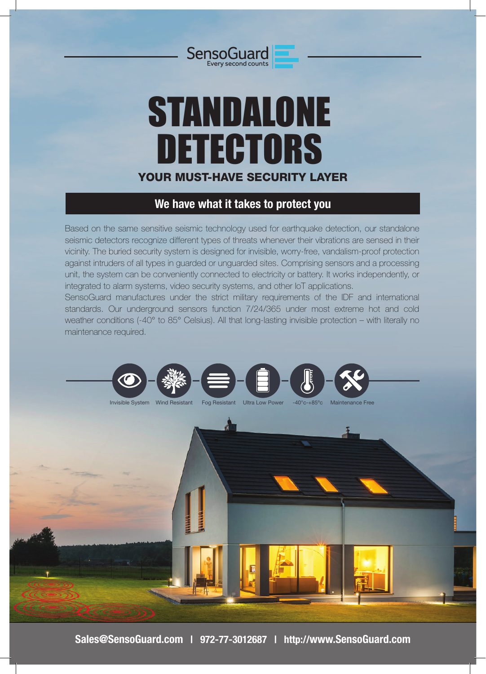

# STANDALONE DETECTORS YOUR MUST-HAVE SECURITY LAYER

# **We have what it takes to protect you**

Based on the same sensitive seismic technology used for earthquake detection, our standalone seismic detectors recognize different types of threats whenever their vibrations are sensed in their vicinity. The buried security system is designed for invisible, worry-free, vandalism-proof protection against intruders of all types in guarded or unguarded sites. Comprising sensors and a processing unit, the system can be conveniently connected to electricity or battery. It works independently, or integrated to alarm systems, video security systems, and other IoT applications.

SensoGuard manufactures under the strict military requirements of the IDF and international standards. Our underground sensors function 7/24/365 under most extreme hot and cold weather conditions (-40° to 85° Celsius). All that long-lasting invisible protection – with literally no maintenance required.